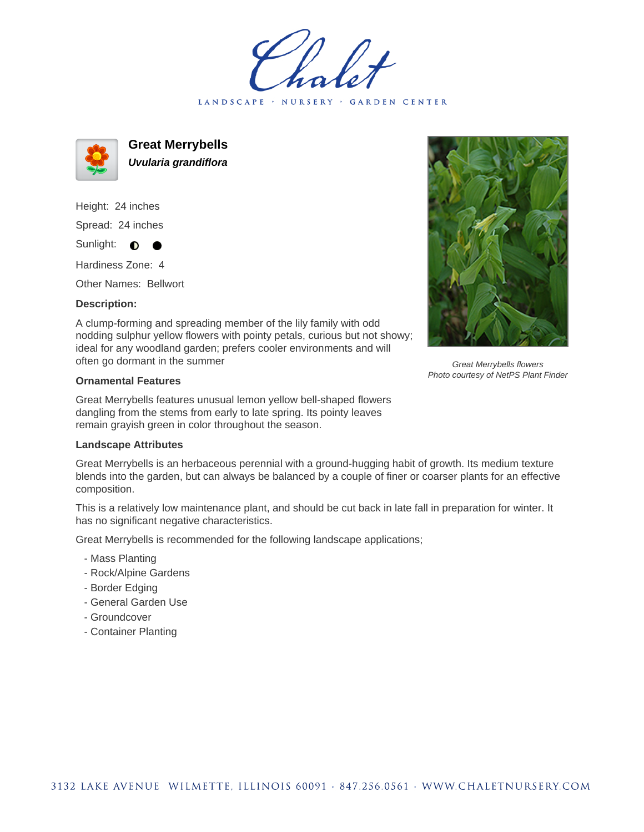LANDSCAPE · NURSERY · GARDEN CENTER



**Great Merrybells Uvularia grandiflora**

Height: 24 inches Spread: 24 inches Sunlight:  $\bullet$ 

Hardiness Zone: 4

Other Names: Bellwort

## **Description:**

A clump-forming and spreading member of the lily family with odd nodding sulphur yellow flowers with pointy petals, curious but not showy; ideal for any woodland garden; prefers cooler environments and will often go dormant in the summer

## **Ornamental Features**

Great Merrybells features unusual lemon yellow bell-shaped flowers dangling from the stems from early to late spring. Its pointy leaves remain grayish green in color throughout the season.

## **Landscape Attributes**

Great Merrybells is an herbaceous perennial with a ground-hugging habit of growth. Its medium texture blends into the garden, but can always be balanced by a couple of finer or coarser plants for an effective composition.

This is a relatively low maintenance plant, and should be cut back in late fall in preparation for winter. It has no significant negative characteristics.

Great Merrybells is recommended for the following landscape applications;

- Mass Planting
- Rock/Alpine Gardens
- Border Edging
- General Garden Use
- Groundcover
- Container Planting



Great Merrybells flowers Photo courtesy of NetPS Plant Finder